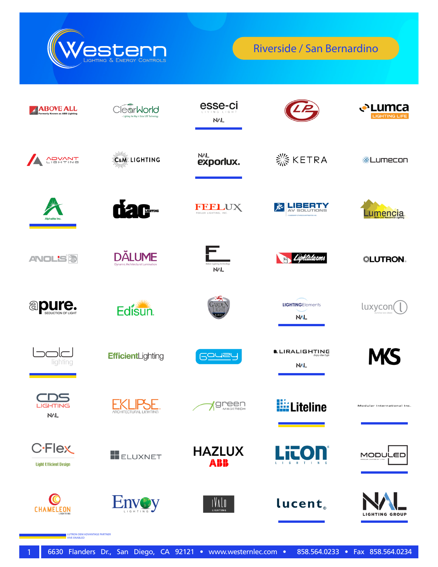

| <b>ABOVE ALL</b><br>Formerly Known as ABB Lighting | <b>earWorld</b><br>- Lighting the Way in Solar LED Technolog | esse-ci<br><b>NVL</b>                |                                      | <b>√</b> Lumca<br><b>LIGHTING LIFE</b> |
|----------------------------------------------------|--------------------------------------------------------------|--------------------------------------|--------------------------------------|----------------------------------------|
| ADVANT                                             | E&ME LIGHTING                                                | <b>NVL</b><br>exporlux.              | <b>※ KETRA</b>                       | ※Lumecon                               |
| Alnhalite Ir                                       | <b>THE LIGHTING</b>                                          | <b>FREELUX LIGHTING, INC.</b>        | <b>LIBERTY</b><br>园                  | umencia                                |
| <b>ANOL'S<sup>5</sup></b>                          | <b>DĂLUME</b><br><b>Dynamic Architectural Lumination</b>     | in Lighting Technology<br><b>NVL</b> | Lightalarms                          | <b>. LUTRON</b>                        |
| <b>apure.</b>                                      | Edisun.                                                      | ARDEI<br>JIGHT                       | <b>LIGHTINGElements</b><br>NAL       | luxycon                                |
| lighting                                           | EfficientLighting                                            | Gouey                                | <b>D.</b> LIRALIGHTING<br><b>NVL</b> | <b>MS</b>                              |
| <b>LIGHTING</b><br><b>MVL</b>                      | <b><i>ARCHITECTURAL LIGHTING</i></b>                         | <b>green</b>                         | <b>Hille</b> Liteline                | Modular International Inc.             |
| <b>C-Flex</b><br><b>Light Efficient Design</b>     | <b>ELUXNET</b>                                               | <b>HAZLUX</b><br>ABB                 | Litol                                | MODULED                                |
| <b>CHAMELEON</b>                                   | <b>Envoy</b>                                                 | INVIO<br>LIGHTING                    | lucent.                              | <b>IGHTING GROUP</b>                   |

LUTRON OEM ADVANTAGE PARTNER VIVE ENABLED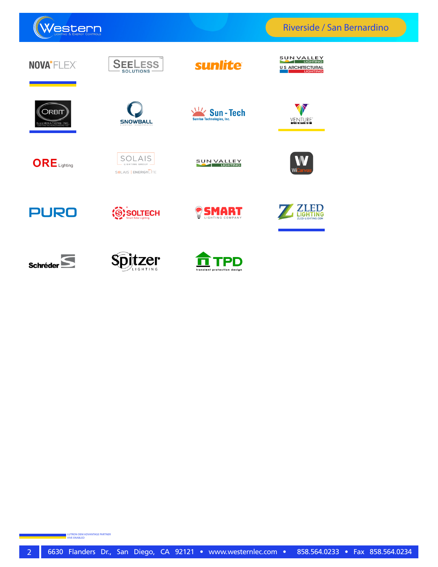

Riverside / San Bernardino

| NOVA <sup>*</sup> FLEX®           | <b>SEELESS</b><br><b>SOLUTIONS</b>              | sunlite                                                             | <b>SUN VALLEY</b><br><b>LIGHTING</b><br><b>U S ARCHITECTURAL</b><br><b>LIGHTING</b> |
|-----------------------------------|-------------------------------------------------|---------------------------------------------------------------------|-------------------------------------------------------------------------------------|
| <b>DRBIT</b><br>LLUMINATIONS INC. | <b>SNOWBALL</b>                                 | $\sqrt{11}$<br><b>Sun-Tech</b><br><b>Sunrise Technologies, Inc.</b> | VENTURE <sup>®</sup>                                                                |
| $ORE$ Lighting                    | SOLAIS<br>LIGHTING GROUP<br>SSLAIS   ENERGYLITE | SUN VALLEY                                                          |                                                                                     |
| <b>PURO</b>                       | SOLTECH                                         | <b>SMAR1</b><br>LIGHTING COMPANY                                    | ED<br>IGH.<br>TING<br>ZLED-LIGHTING.COM                                             |
| <b>Schréder</b>                   | zer<br>LIGHTING                                 | translent protection design                                         |                                                                                     |

LUTRON OEM ADVANTAGE PARTNER VIVE ENABLED